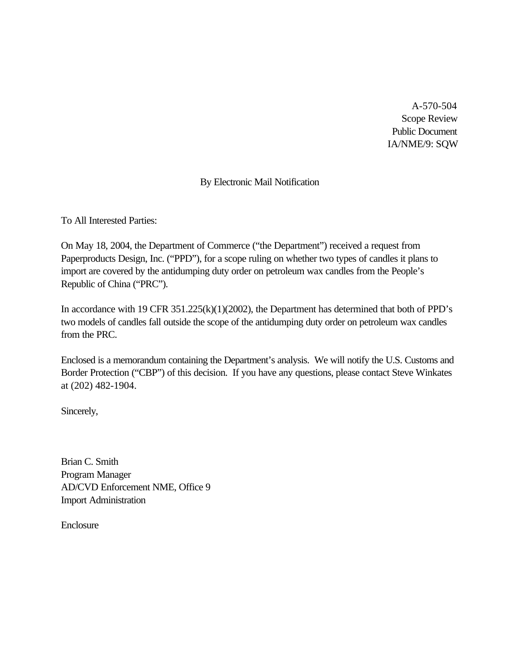A-570-504 Scope Review Public Document IA/NME/9: SQW

# By Electronic Mail Notification

To All Interested Parties:

On May 18, 2004, the Department of Commerce ("the Department") received a request from Paperproducts Design, Inc. ("PPD"), for a scope ruling on whether two types of candles it plans to import are covered by the antidumping duty order on petroleum wax candles from the People's Republic of China ("PRC").

In accordance with 19 CFR 351.225(k)(1)(2002), the Department has determined that both of PPD's two models of candles fall outside the scope of the antidumping duty order on petroleum wax candles from the PRC.

Enclosed is a memorandum containing the Department's analysis. We will notify the U.S. Customs and Border Protection ("CBP") of this decision. If you have any questions, please contact Steve Winkates at (202) 482-1904.

Sincerely,

Brian C. Smith Program Manager AD/CVD Enforcement NME, Office 9 Import Administration

Enclosure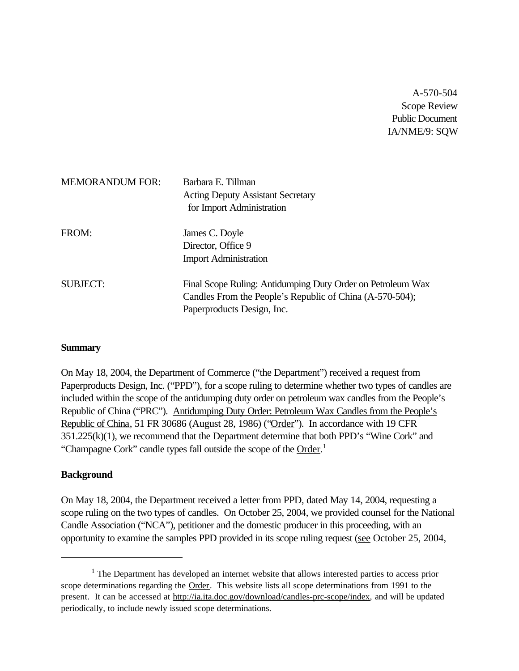A-570-504 Scope Review Public Document IA/NME/9: SQW

| <b>MEMORANDUM FOR:</b> | Barbara E. Tillman<br><b>Acting Deputy Assistant Secretary</b><br>for Import Administration                                                           |
|------------------------|-------------------------------------------------------------------------------------------------------------------------------------------------------|
| FROM:                  | James C. Doyle<br>Director, Office 9<br><b>Import Administration</b>                                                                                  |
| <b>SUBJECT:</b>        | Final Scope Ruling: Antidumping Duty Order on Petroleum Wax<br>Candles From the People's Republic of China (A-570-504);<br>Paperproducts Design, Inc. |

#### **Summary**

On May 18, 2004, the Department of Commerce ("the Department") received a request from Paperproducts Design, Inc. ("PPD"), for a scope ruling to determine whether two types of candles are included within the scope of the antidumping duty order on petroleum wax candles from the People's Republic of China ("PRC"). Antidumping Duty Order: Petroleum Wax Candles from the People's Republic of China, 51 FR 30686 (August 28, 1986) ("Order"). In accordance with 19 CFR 351.225(k)(1), we recommend that the Department determine that both PPD's "Wine Cork" and "Champagne Cork" candle types fall outside the scope of the Order.<sup>1</sup>

## **Background**

On May 18, 2004, the Department received a letter from PPD, dated May 14, 2004, requesting a scope ruling on the two types of candles. On October 25, 2004, we provided counsel for the National Candle Association ("NCA"), petitioner and the domestic producer in this proceeding, with an opportunity to examine the samples PPD provided in its scope ruling request (see October 25, 2004,

 $<sup>1</sup>$  The Department has developed an internet website that allows interested parties to access prior</sup> scope determinations regarding the Order. This website lists all scope determinations from 1991 to the present. It can be accessed at http://ia.ita.doc.gov/download/candles-prc-scope/index, and will be updated periodically, to include newly issued scope determinations.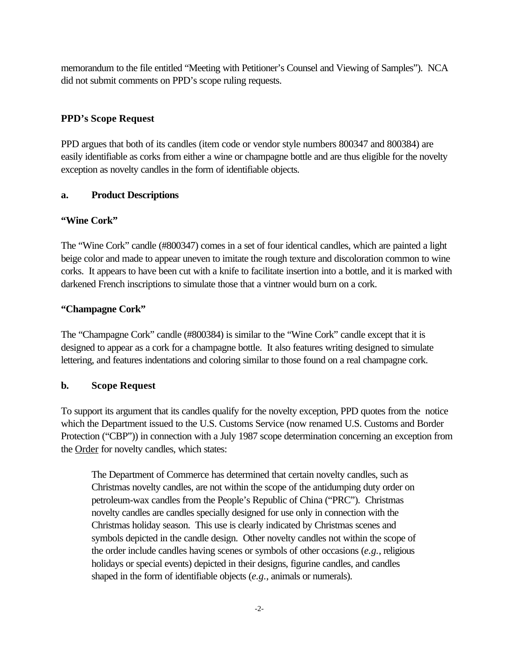memorandum to the file entitled "Meeting with Petitioner's Counsel and Viewing of Samples"). NCA did not submit comments on PPD's scope ruling requests.

# **PPD's Scope Request**

PPD argues that both of its candles (item code or vendor style numbers 800347 and 800384) are easily identifiable as corks from either a wine or champagne bottle and are thus eligible for the novelty exception as novelty candles in the form of identifiable objects.

# **a. Product Descriptions**

# **"Wine Cork"**

The "Wine Cork" candle (#800347) comes in a set of four identical candles, which are painted a light beige color and made to appear uneven to imitate the rough texture and discoloration common to wine corks. It appears to have been cut with a knife to facilitate insertion into a bottle, and it is marked with darkened French inscriptions to simulate those that a vintner would burn on a cork.

# **"Champagne Cork"**

The "Champagne Cork" candle (#800384) is similar to the "Wine Cork" candle except that it is designed to appear as a cork for a champagne bottle. It also features writing designed to simulate lettering, and features indentations and coloring similar to those found on a real champagne cork.

# **b. Scope Request**

To support its argument that its candles qualify for the novelty exception, PPD quotes from the notice which the Department issued to the U.S. Customs Service (now renamed U.S. Customs and Border Protection ("CBP")) in connection with a July 1987 scope determination concerning an exception from the Order for novelty candles, which states:

The Department of Commerce has determined that certain novelty candles, such as Christmas novelty candles, are not within the scope of the antidumping duty order on petroleum-wax candles from the People's Republic of China ("PRC"). Christmas novelty candles are candles specially designed for use only in connection with the Christmas holiday season. This use is clearly indicated by Christmas scenes and symbols depicted in the candle design. Other novelty candles not within the scope of the order include candles having scenes or symbols of other occasions (*e.g.*, religious holidays or special events) depicted in their designs, figurine candles, and candles shaped in the form of identifiable objects (*e.g.*, animals or numerals).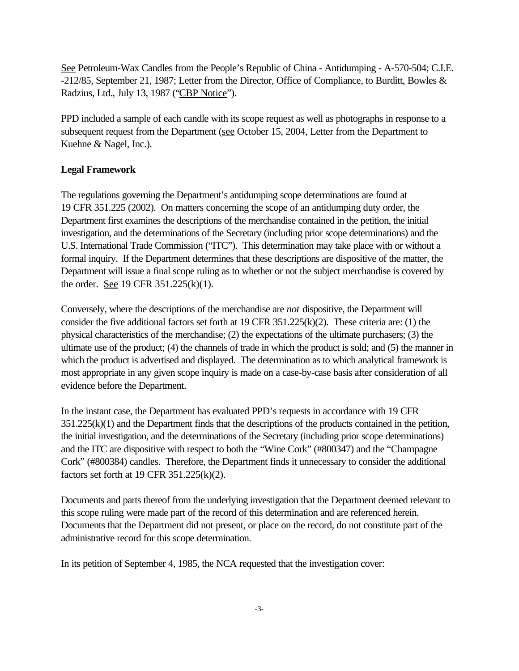See Petroleum-Wax Candles from the People's Republic of China - Antidumping - A-570-504; C.I.E. -212/85, September 21, 1987; Letter from the Director, Office of Compliance, to Burditt, Bowles & Radzius, Ltd., July 13, 1987 ("CBP Notice").

PPD included a sample of each candle with its scope request as well as photographs in response to a subsequent request from the Department (see October 15, 2004, Letter from the Department to Kuehne & Nagel, Inc.).

# **Legal Framework**

The regulations governing the Department's antidumping scope determinations are found at 19 CFR 351.225 (2002). On matters concerning the scope of an antidumping duty order, the Department first examines the descriptions of the merchandise contained in the petition, the initial investigation, and the determinations of the Secretary (including prior scope determinations) and the U.S. International Trade Commission ("ITC"). This determination may take place with or without a formal inquiry. If the Department determines that these descriptions are dispositive of the matter, the Department will issue a final scope ruling as to whether or not the subject merchandise is covered by the order. See 19 CFR 351.225(k)(1).

Conversely, where the descriptions of the merchandise are *not* dispositive, the Department will consider the five additional factors set forth at 19 CFR 351.225(k)(2). These criteria are: (1) the physical characteristics of the merchandise; (2) the expectations of the ultimate purchasers; (3) the ultimate use of the product; (4) the channels of trade in which the product is sold; and (5) the manner in which the product is advertised and displayed. The determination as to which analytical framework is most appropriate in any given scope inquiry is made on a case-by-case basis after consideration of all evidence before the Department.

In the instant case, the Department has evaluated PPD's requests in accordance with 19 CFR 351.225(k)(1) and the Department finds that the descriptions of the products contained in the petition, the initial investigation, and the determinations of the Secretary (including prior scope determinations) and the ITC are dispositive with respect to both the "Wine Cork" (#800347) and the "Champagne Cork" (#800384) candles. Therefore, the Department finds it unnecessary to consider the additional factors set forth at 19 CFR 351.225(k)(2).

Documents and parts thereof from the underlying investigation that the Department deemed relevant to this scope ruling were made part of the record of this determination and are referenced herein. Documents that the Department did not present, or place on the record, do not constitute part of the administrative record for this scope determination.

In its petition of September 4, 1985, the NCA requested that the investigation cover: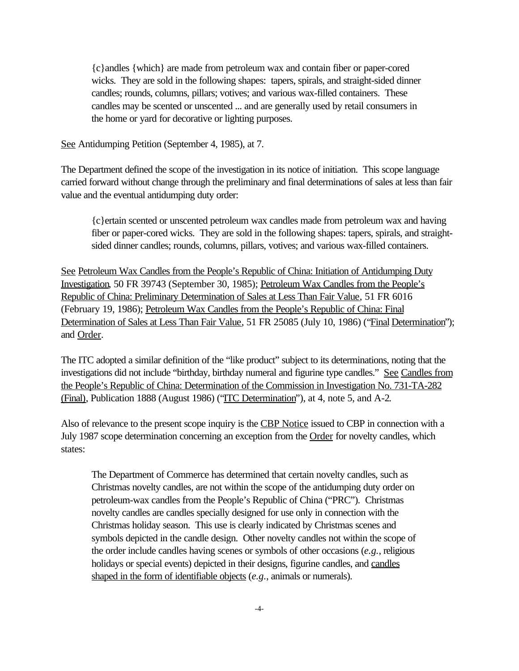{c}andles {which} are made from petroleum wax and contain fiber or paper-cored wicks. They are sold in the following shapes: tapers, spirals, and straight-sided dinner candles; rounds, columns, pillars; votives; and various wax-filled containers. These candles may be scented or unscented ... and are generally used by retail consumers in the home or yard for decorative or lighting purposes.

See Antidumping Petition (September 4, 1985), at 7.

The Department defined the scope of the investigation in its notice of initiation. This scope language carried forward without change through the preliminary and final determinations of sales at less than fair value and the eventual antidumping duty order:

{c}ertain scented or unscented petroleum wax candles made from petroleum wax and having fiber or paper-cored wicks. They are sold in the following shapes: tapers, spirals, and straightsided dinner candles; rounds, columns, pillars, votives; and various wax-filled containers.

See Petroleum Wax Candles from the People's Republic of China: Initiation of Antidumping Duty Investigation, 50 FR 39743 (September 30, 1985); Petroleum Wax Candles from the People's Republic of China: Preliminary Determination of Sales at Less Than Fair Value, 51 FR 6016 (February 19, 1986); Petroleum Wax Candles from the People's Republic of China: Final Determination of Sales at Less Than Fair Value, 51 FR 25085 (July 10, 1986) ("Final Determination"); and Order.

The ITC adopted a similar definition of the "like product" subject to its determinations, noting that the investigations did not include "birthday, birthday numeral and figurine type candles." See Candles from the People's Republic of China: Determination of the Commission in Investigation No. 731-TA-282 (Final), Publication 1888 (August 1986) ("ITC Determination"), at 4, note 5, and A-2.

Also of relevance to the present scope inquiry is the CBP Notice issued to CBP in connection with a July 1987 scope determination concerning an exception from the Order for novelty candles, which states:

The Department of Commerce has determined that certain novelty candles, such as Christmas novelty candles, are not within the scope of the antidumping duty order on petroleum-wax candles from the People's Republic of China ("PRC"). Christmas novelty candles are candles specially designed for use only in connection with the Christmas holiday season. This use is clearly indicated by Christmas scenes and symbols depicted in the candle design. Other novelty candles not within the scope of the order include candles having scenes or symbols of other occasions (*e.g.*, religious holidays or special events) depicted in their designs, figurine candles, and candles shaped in the form of identifiable objects (*e.g.*, animals or numerals).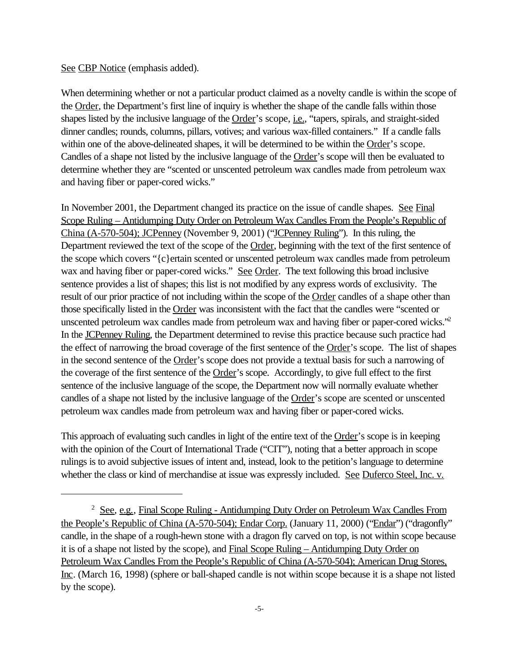### See CBP Notice (emphasis added).

When determining whether or not a particular product claimed as a novelty candle is within the scope of the Order, the Department's first line of inquiry is whether the shape of the candle falls within those shapes listed by the inclusive language of the Order's scope, *i.e.*, "tapers, spirals, and straight-sided dinner candles; rounds, columns, pillars, votives; and various wax-filled containers." If a candle falls within one of the above-delineated shapes, it will be determined to be within the Order's scope. Candles of a shape not listed by the inclusive language of the Order's scope will then be evaluated to determine whether they are "scented or unscented petroleum wax candles made from petroleum wax and having fiber or paper-cored wicks."

In November 2001, the Department changed its practice on the issue of candle shapes. See Final Scope Ruling – Antidumping Duty Order on Petroleum Wax Candles From the People's Republic of China (A-570-504); JCPenney (November 9, 2001) ("JCPenney Ruling"). In this ruling, the Department reviewed the text of the scope of the Order, beginning with the text of the first sentence of the scope which covers "{c}ertain scented or unscented petroleum wax candles made from petroleum wax and having fiber or paper-cored wicks." See Order. The text following this broad inclusive sentence provides a list of shapes; this list is not modified by any express words of exclusivity. The result of our prior practice of not including within the scope of the Order candles of a shape other than those specifically listed in the Order was inconsistent with the fact that the candles were "scented or unscented petroleum wax candles made from petroleum wax and having fiber or paper-cored wicks."<sup>2</sup> In the JCPenney Ruling, the Department determined to revise this practice because such practice had the effect of narrowing the broad coverage of the first sentence of the Order's scope. The list of shapes in the second sentence of the Order's scope does not provide a textual basis for such a narrowing of the coverage of the first sentence of the Order's scope. Accordingly, to give full effect to the first sentence of the inclusive language of the scope, the Department now will normally evaluate whether candles of a shape not listed by the inclusive language of the Order's scope are scented or unscented petroleum wax candles made from petroleum wax and having fiber or paper-cored wicks.

This approach of evaluating such candles in light of the entire text of the Order's scope is in keeping with the opinion of the Court of International Trade ("CIT"), noting that a better approach in scope rulings is to avoid subjective issues of intent and, instead, look to the petition's language to determine whether the class or kind of merchandise at issue was expressly included. See Duferco Steel, Inc. v.

<sup>&</sup>lt;sup>2</sup> See, e.g., Final Scope Ruling - Antidumping Duty Order on Petroleum Wax Candles From the People's Republic of China (A-570-504); Endar Corp. (January 11, 2000) ("Endar") ("dragonfly" candle, in the shape of a rough-hewn stone with a dragon fly carved on top, is not within scope because it is of a shape not listed by the scope), and Final Scope Ruling – Antidumping Duty Order on Petroleum Wax Candles From the People's Republic of China (A-570-504); American Drug Stores, Inc. (March 16, 1998) (sphere or ball-shaped candle is not within scope because it is a shape not listed by the scope).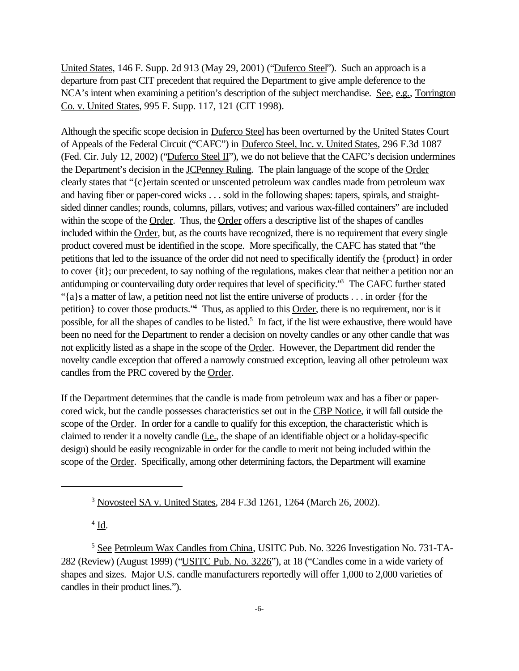United States, 146 F. Supp. 2d 913 (May 29, 2001) ("Duferco Steel"). Such an approach is a departure from past CIT precedent that required the Department to give ample deference to the NCA's intent when examining a petition's description of the subject merchandise. See, e.g., Torrington Co. v. United States, 995 F. Supp. 117, 121 (CIT 1998).

Although the specific scope decision in Duferco Steel has been overturned by the United States Court of Appeals of the Federal Circuit ("CAFC") in Duferco Steel, Inc. v. United States, 296 F.3d 1087 (Fed. Cir. July 12, 2002) ("Duferco Steel II"), we do not believe that the CAFC's decision undermines the Department's decision in the **JCPenney Ruling**. The plain language of the scope of the Order clearly states that "{c}ertain scented or unscented petroleum wax candles made from petroleum wax and having fiber or paper-cored wicks . . . sold in the following shapes: tapers, spirals, and straightsided dinner candles; rounds, columns, pillars, votives; and various wax-filled containers" are included within the scope of the Order. Thus, the Order offers a descriptive list of the shapes of candles included within the Order, but, as the courts have recognized, there is no requirement that every single product covered must be identified in the scope. More specifically, the CAFC has stated that "the petitions that led to the issuance of the order did not need to specifically identify the {product} in order to cover {it}; our precedent, to say nothing of the regulations, makes clear that neither a petition nor an antidumping or countervailing duty order requires that level of specificity."<sup>3</sup> The CAFC further stated "{a}s a matter of law, a petition need not list the entire universe of products . . . in order {for the petition of to cover those products.<sup>"4</sup> Thus, as applied to this **Order**, there is no requirement, nor is it possible, for all the shapes of candles to be listed.<sup>5</sup> In fact, if the list were exhaustive, there would have been no need for the Department to render a decision on novelty candles or any other candle that was not explicitly listed as a shape in the scope of the Order. However, the Department did render the novelty candle exception that offered a narrowly construed exception, leaving all other petroleum wax candles from the PRC covered by the Order.

If the Department determines that the candle is made from petroleum wax and has a fiber or papercored wick, but the candle possesses characteristics set out in the CBP Notice, it will fall outside the scope of the Order. In order for a candle to qualify for this exception, the characteristic which is claimed to render it a novelty candle (i.e., the shape of an identifiable object or a holiday-specific design) should be easily recognizable in order for the candle to merit not being included within the scope of the Order. Specifically, among other determining factors, the Department will examine

 $4 \underline{\mathbf{Id}}$ .

<sup>3</sup> Novosteel SA v. United States, 284 F.3d 1261, 1264 (March 26, 2002).

<sup>&</sup>lt;sup>5</sup> See Petroleum Wax Candles from China, USITC Pub. No. 3226 Investigation No. 731-TA-282 (Review) (August 1999) ("USITC Pub. No. 3226"), at 18 ("Candles come in a wide variety of shapes and sizes. Major U.S. candle manufacturers reportedly will offer 1,000 to 2,000 varieties of candles in their product lines.").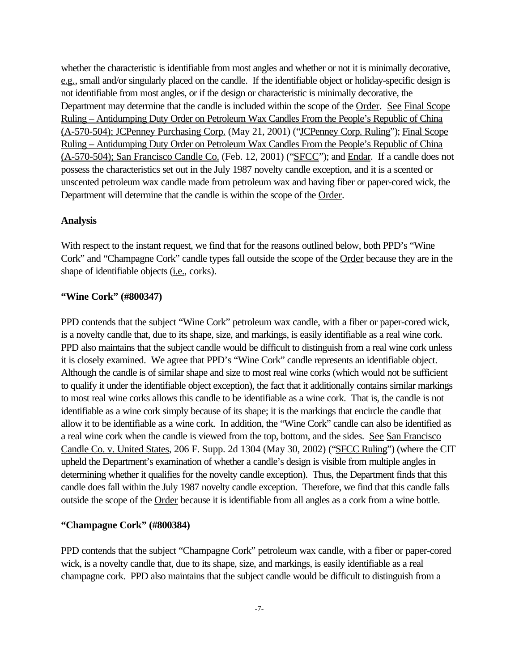whether the characteristic is identifiable from most angles and whether or not it is minimally decorative, e.g., small and/or singularly placed on the candle. If the identifiable object or holiday-specific design is not identifiable from most angles, or if the design or characteristic is minimally decorative, the Department may determine that the candle is included within the scope of the Order. See Final Scope Ruling – Antidumping Duty Order on Petroleum Wax Candles From the People's Republic of China (A-570-504); JCPenney Purchasing Corp. (May 21, 2001) ("JCPenney Corp. Ruling"); Final Scope Ruling – Antidumping Duty Order on Petroleum Wax Candles From the People's Republic of China (A-570-504); San Francisco Candle Co. (Feb. 12, 2001) ("SFCC"); and Endar. If a candle does not possess the characteristics set out in the July 1987 novelty candle exception, and it is a scented or unscented petroleum wax candle made from petroleum wax and having fiber or paper-cored wick, the Department will determine that the candle is within the scope of the Order.

## **Analysis**

With respect to the instant request, we find that for the reasons outlined below, both PPD's "Wine Cork" and "Champagne Cork" candle types fall outside the scope of the Order because they are in the shape of identifiable objects (i.e., corks).

#### **"Wine Cork" (#800347)**

PPD contends that the subject "Wine Cork" petroleum wax candle, with a fiber or paper-cored wick, is a novelty candle that, due to its shape, size, and markings, is easily identifiable as a real wine cork. PPD also maintains that the subject candle would be difficult to distinguish from a real wine cork unless it is closely examined. We agree that PPD's "Wine Cork" candle represents an identifiable object. Although the candle is of similar shape and size to most real wine corks (which would not be sufficient to qualify it under the identifiable object exception), the fact that it additionally contains similar markings to most real wine corks allows this candle to be identifiable as a wine cork. That is, the candle is not identifiable as a wine cork simply because of its shape; it is the markings that encircle the candle that allow it to be identifiable as a wine cork. In addition, the "Wine Cork" candle can also be identified as a real wine cork when the candle is viewed from the top, bottom, and the sides. See San Francisco Candle Co. v. United States, 206 F. Supp. 2d 1304 (May 30, 2002) ("SFCC Ruling") (where the CIT upheld the Department's examination of whether a candle's design is visible from multiple angles in determining whether it qualifies for the novelty candle exception). Thus, the Department finds that this candle does fall within the July 1987 novelty candle exception. Therefore, we find that this candle falls outside the scope of the Order because it is identifiable from all angles as a cork from a wine bottle.

## **"Champagne Cork" (#800384)**

PPD contends that the subject "Champagne Cork" petroleum wax candle, with a fiber or paper-cored wick, is a novelty candle that, due to its shape, size, and markings, is easily identifiable as a real champagne cork. PPD also maintains that the subject candle would be difficult to distinguish from a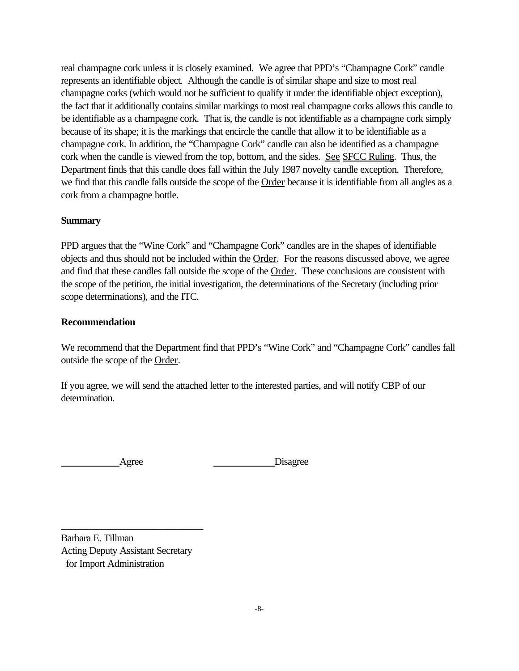real champagne cork unless it is closely examined. We agree that PPD's "Champagne Cork" candle represents an identifiable object. Although the candle is of similar shape and size to most real champagne corks (which would not be sufficient to qualify it under the identifiable object exception), the fact that it additionally contains similar markings to most real champagne corks allows this candle to be identifiable as a champagne cork. That is, the candle is not identifiable as a champagne cork simply because of its shape; it is the markings that encircle the candle that allow it to be identifiable as a champagne cork. In addition, the "Champagne Cork" candle can also be identified as a champagne cork when the candle is viewed from the top, bottom, and the sides. See SFCC Ruling. Thus, the Department finds that this candle does fall within the July 1987 novelty candle exception. Therefore, we find that this candle falls outside the scope of the Order because it is identifiable from all angles as a cork from a champagne bottle.

### **Summary**

PPD argues that the "Wine Cork" and "Champagne Cork" candles are in the shapes of identifiable objects and thus should not be included within the Order. For the reasons discussed above, we agree and find that these candles fall outside the scope of the Order. These conclusions are consistent with the scope of the petition, the initial investigation, the determinations of the Secretary (including prior scope determinations), and the ITC.

## **Recommendation**

We recommend that the Department find that PPD's "Wine Cork" and "Champagne Cork" candles fall outside the scope of the Order.

If you agree, we will send the attached letter to the interested parties, and will notify CBP of our determination.

Agree Disagree

Barbara E. Tillman Acting Deputy Assistant Secretary for Import Administration

\_\_\_\_\_\_\_\_\_\_\_\_\_\_\_\_\_\_\_\_\_\_\_\_\_\_\_\_